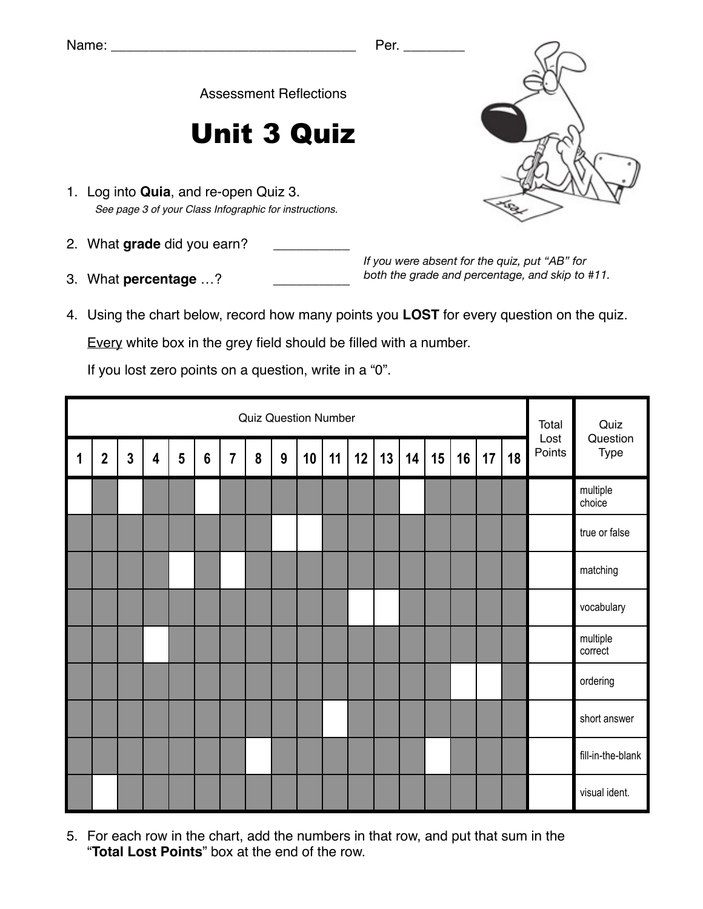Assessment Reflections

## Unit 3 Quiz

- 1. Log into **Quia**, and re-open Quiz 3. *See page 3 of your Class Infographic for instructions.*
- 2. What grade did you earn?
- 3. What **percentage** ...?

*If you were absent for the quiz, put "AB" for both the grade and percentage, and skip to #11.*

4. Using the chart below, record how many points you **LOST** for every question on the quiz.

Every white box in the grey field should be filled with a number.

If you lost zero points on a question, write in a "0".

|             | <b>Quiz Question Number</b> |                |                         |                |                 |                |   |                  |    |    |    |    |    |    |    | Total<br>Lost | Quiz<br>Question |        |                     |
|-------------|-----------------------------|----------------|-------------------------|----------------|-----------------|----------------|---|------------------|----|----|----|----|----|----|----|---------------|------------------|--------|---------------------|
| $\mathbf 1$ | $\boldsymbol{2}$            | $\overline{3}$ | $\overline{\mathbf{4}}$ | $5\phantom{1}$ | $6\phantom{1}6$ | $\overline{7}$ | 8 | $\boldsymbol{9}$ | 10 | 11 | 12 | 13 | 14 | 15 | 16 | 17            | 18               | Points | Type                |
|             |                             |                |                         |                |                 |                |   |                  |    |    |    |    |    |    |    |               |                  |        | multiple<br>choice  |
|             |                             |                |                         |                |                 |                |   |                  |    |    |    |    |    |    |    |               |                  |        | true or false       |
|             |                             |                |                         |                |                 |                |   |                  |    |    |    |    |    |    |    |               |                  |        | matching            |
|             |                             |                |                         |                |                 |                |   |                  |    |    |    |    |    |    |    |               |                  |        | vocabulary          |
|             |                             |                |                         |                |                 |                |   |                  |    |    |    |    |    |    |    |               |                  |        | multiple<br>correct |
|             |                             |                |                         |                |                 |                |   |                  |    |    |    |    |    |    |    |               |                  |        | ordering            |
|             |                             |                |                         |                |                 |                |   |                  |    |    |    |    |    |    |    |               |                  |        | short answer        |
|             |                             |                |                         |                |                 |                |   |                  |    |    |    |    |    |    |    |               |                  |        | fill-in-the-blank   |
|             |                             |                |                         |                |                 |                |   |                  |    |    |    |    |    |    |    |               |                  |        | visual ident.       |

5. For each row in the chart, add the numbers in that row, and put that sum in the "**Total Lost Points**" box at the end of the row.